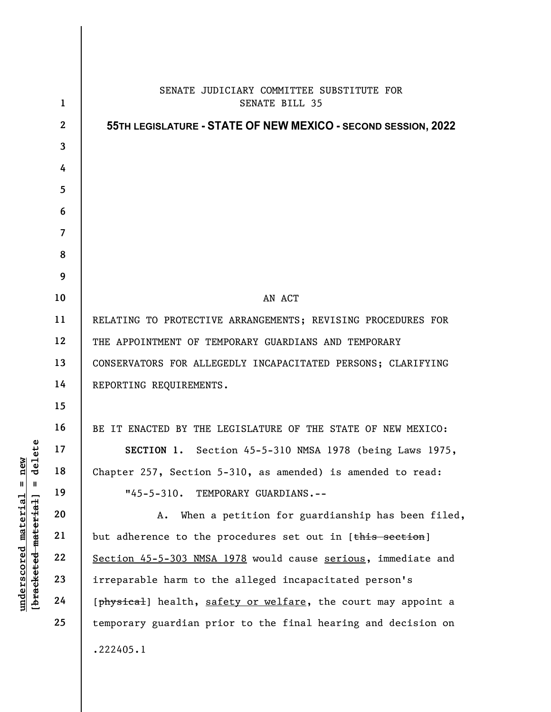|                                                                          | $\mathbf{1}$   | SENATE JUDICIARY COMMITTEE SUBSTITUTE FOR<br><b>SENATE BILL 35</b> |
|--------------------------------------------------------------------------|----------------|--------------------------------------------------------------------|
| new<br>delete<br>$\blacksquare$<br>Ш<br>material<br>[bracketed-material] | $\mathbf{2}$   | 55TH LEGISLATURE - STATE OF NEW MEXICO - SECOND SESSION, 2022      |
|                                                                          | $\mathbf{3}$   |                                                                    |
|                                                                          | 4              |                                                                    |
|                                                                          | 5              |                                                                    |
|                                                                          | 6              |                                                                    |
|                                                                          | $\overline{7}$ |                                                                    |
|                                                                          | 8              |                                                                    |
|                                                                          | 9              |                                                                    |
|                                                                          | 10             | AN ACT                                                             |
|                                                                          | 11             | RELATING TO PROTECTIVE ARRANGEMENTS; REVISING PROCEDURES FOR       |
|                                                                          | 12             | THE APPOINTMENT OF TEMPORARY GUARDIANS AND TEMPORARY               |
|                                                                          | 13             | CONSERVATORS FOR ALLEGEDLY INCAPACITATED PERSONS; CLARIFYING       |
|                                                                          | 14             | REPORTING REQUIREMENTS.                                            |
|                                                                          | 15             |                                                                    |
|                                                                          | 16             | BE IT ENACTED BY THE LEGISLATURE OF THE STATE OF NEW MEXICO:       |
|                                                                          | 17             | SECTION 1. Section 45-5-310 NMSA 1978 (being Laws 1975,            |
|                                                                          | 18             | Chapter 257, Section 5-310, as amended) is amended to read:        |
|                                                                          | 19             | $"45 - 5 - 310.$<br>TEMPORARY GUARDIANS.--                         |
|                                                                          | 20             | When a petition for guardianship has been filed,<br>Α.             |
|                                                                          | 21             | but adherence to the procedures set out in [this section]          |
|                                                                          | 22             | Section 45-5-303 NMSA 1978 would cause serious, immediate and      |
| underscored                                                              | 23             | irreparable harm to the alleged incapacitated person's             |
|                                                                          | 24             | [physical] health, safety or welfare, the court may appoint a      |
|                                                                          | 25             | temporary guardian prior to the final hearing and decision on      |
|                                                                          |                | .222405.1                                                          |
|                                                                          |                |                                                                    |

 $\mathsf{I}$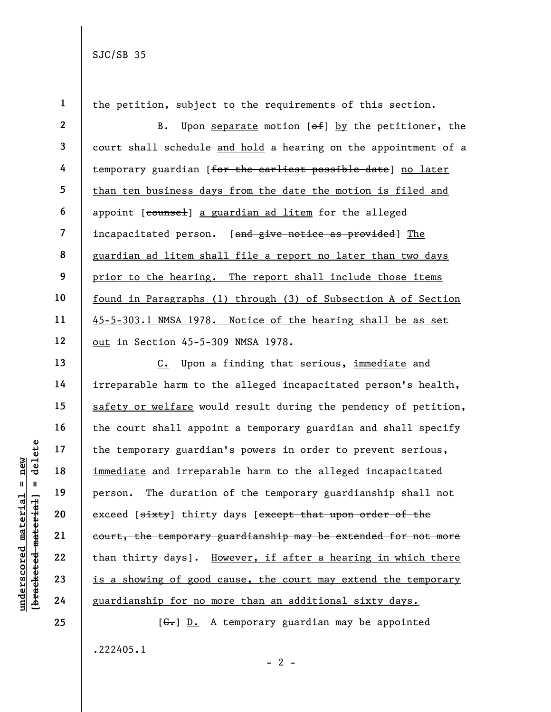1 2 3 4 5 6 7 8 9 10 11 12 13 14 15 16 17 18 the petition, subject to the requirements of this section. B. Upon separate motion  $[ $\theta$  +  $\theta$ ] by the *petitioner*, the$ court shall schedule and hold a hearing on the appointment of a temporary guardian [for the earliest possible date] no later than ten business days from the date the motion is filed and appoint [counsel] a guardian ad litem for the alleged incapacitated person. [and give notice as provided] The guardian ad litem shall file a report no later than two days prior to the hearing. The report shall include those items found in Paragraphs (1) through (3) of Subsection A of Section 45-5-303.1 NMSA 1978. Notice of the hearing shall be as set out in Section 45-5-309 NMSA 1978. C. Upon a finding that serious, immediate and

underscored material = new [bracketed material] = delete irreparable harm to the alleged incapacitated person's health, safety or welfare would result during the pendency of petition, the court shall appoint a temporary guardian and shall specify the temporary guardian's powers in order to prevent serious, immediate and irreparable harm to the alleged incapacitated person. The duration of the temporary guardianship shall not exceed [sixty] thirty days [except that upon order of the court, the temporary guardianship may be extended for not more than thirty days]. However, if after a hearing in which there is a showing of good cause, the court may extend the temporary guardianship for no more than an additional sixty days.

> $[G<sub>1</sub>]$   $D<sub>2</sub>$  A temporary guardian may be appointed .222405.1  $- 2 -$

24 25

19

20

21

22

23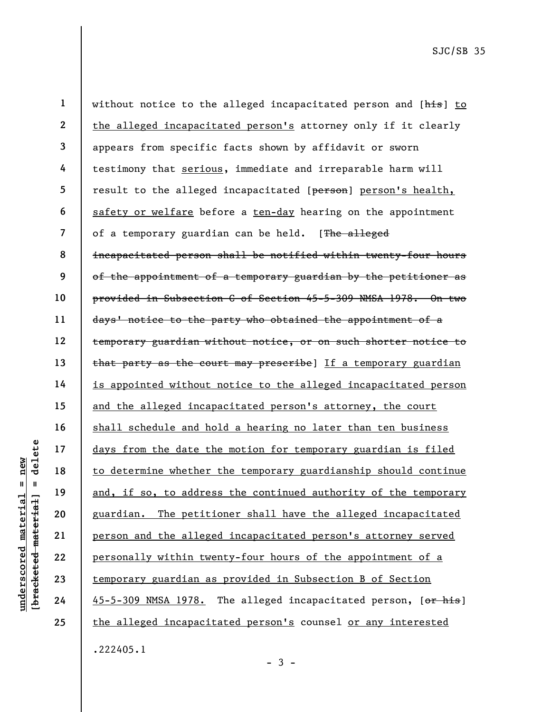under 17<br>
under 18<br>
to determine whether<br>
in 19<br>
and, if so, to addres<br>
guardian. The petiti<br>
person and the allege<br>
22<br>
23<br>
temporary guardian as<br>
24<br>
45-5-309 NMSA 1978. 1 2 3 4 5 6 7 8 9 10 11 12 13 14 15 16 17 18 19 20 21 22 23 24 25 without notice to the alleged incapacitated person and [his] to the alleged incapacitated person's attorney only if it clearly appears from specific facts shown by affidavit or sworn testimony that serious, immediate and irreparable harm will result to the alleged incapacitated [person] person's health, safety or welfare before a ten-day hearing on the appointment of a temporary guardian can be held. [The alleged incapacitated person shall be notified within twenty-four hours of the appointment of a temporary guardian by the petitioner as provided in Subsection C of Section 45-5-309 NMSA 1978. On two days' notice to the party who obtained the appointment of a temporary guardian without notice, or on such shorter notice to that party as the court may prescribe] If a temporary guardian is appointed without notice to the alleged incapacitated person and the alleged incapacitated person's attorney, the court shall schedule and hold a hearing no later than ten business days from the date the motion for temporary guardian is filed to determine whether the temporary guardianship should continue and, if so, to address the continued authority of the temporary guardian. The petitioner shall have the alleged incapacitated person and the alleged incapacitated person's attorney served personally within twenty-four hours of the appointment of a temporary guardian as provided in Subsection B of Section 45-5-309 NMSA 1978. The alleged incapacitated person, [or his] the alleged incapacitated person's counsel or any interested .222405.1

 $-3 -$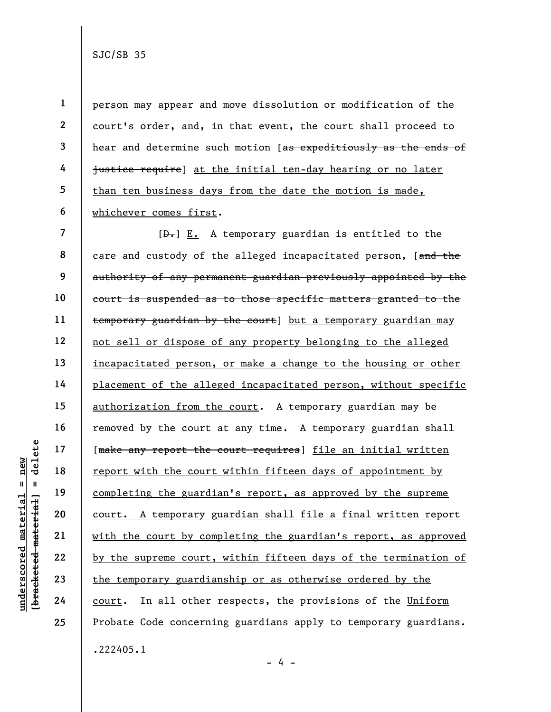2 5

1

3

4

6

person may appear and move dissolution or modification of the court's order, and, in that event, the court shall proceed to hear and determine such motion [as expeditiously as the ends of justice require] at the initial ten-day hearing or no later than ten business days from the date the motion is made, whichever comes first.

underscored material = new [bracketed material] = delete 7 8 9 10 11 12 13 14 15 16 17 18 19 20 21 22 23 24 25  $[D<sub>1</sub>]$  E. A temporary guardian is entitled to the care and custody of the alleged incapacitated person, [and the authority of any permanent guardian previously appointed by the court is suspended as to those specific matters granted to the temporary guardian by the court] but a temporary guardian may not sell or dispose of any property belonging to the alleged incapacitated person, or make a change to the housing or other placement of the alleged incapacitated person, without specific authorization from the court. A temporary guardian may be removed by the court at any time. A temporary guardian shall [make any report the court requires] file an initial written report with the court within fifteen days of appointment by completing the guardian's report, as approved by the supreme court. A temporary guardian shall file a final written report with the court by completing the guardian's report, as approved by the supreme court, within fifteen days of the termination of the temporary guardianship or as otherwise ordered by the court. In all other respects, the provisions of the Uniform Probate Code concerning guardians apply to temporary guardians. .222405.1

 $- 4 -$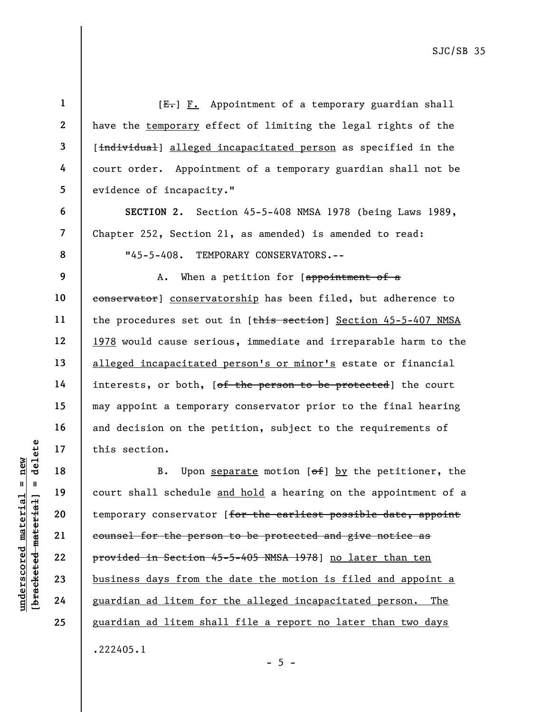|                                   | $\mathbf 1$    | $[E-]$ $F.$ Appointment of a temporary guardian shall                        |  |  |
|-----------------------------------|----------------|------------------------------------------------------------------------------|--|--|
|                                   | $\mathbf{2}$   | have the temporary effect of limiting the legal rights of the                |  |  |
|                                   | 3              | [individual] alleged incapacitated person as specified in the                |  |  |
|                                   | 4              | court order. Appointment of a temporary guardian shall not be                |  |  |
|                                   | 5              | evidence of incapacity."                                                     |  |  |
|                                   | 6              | SECTION 2. Section 45-5-408 NMSA 1978 (being Laws 1989,                      |  |  |
|                                   | $\overline{7}$ | Chapter 252, Section 21, as amended) is amended to read:                     |  |  |
|                                   | 8<br>9         | $"45 - 5 - 408.$<br>TEMPORARY CONSERVATORS.--                                |  |  |
|                                   |                | When a petition for $[approx]$<br>Α.                                         |  |  |
|                                   | 10             | conservator] conservatorship has been filed, but adherence to                |  |  |
|                                   | 11             | the procedures set out in [this section] Section 45-5-407 NMSA               |  |  |
|                                   | 12             | 1978 would cause serious, immediate and irreparable harm to the              |  |  |
|                                   | 13             | alleged incapacitated person's or minor's estate or financial                |  |  |
|                                   | 14             | interests, or both, [ <del>of the person to be protected</del> ] the court   |  |  |
|                                   | 15             | may appoint a temporary conservator prior to the final hearing               |  |  |
|                                   | 16             | and decision on the petition, subject to the requirements of                 |  |  |
| delete                            | 17             | this section.                                                                |  |  |
| $n$ ew                            | 18             | Upon separate motion $[\theta + \theta] by the petitioner, the$<br><b>B.</b> |  |  |
| Ш<br>ದ<br>ᆊ                       | 19             | court shall schedule and hold a hearing on the appointment of a              |  |  |
|                                   | 20             | temporary conservator [for the earliest possible date, appoint               |  |  |
| materi                            | 21             | counsel for the person to be protected and give notice as                    |  |  |
|                                   | 22             | provided in Section 45-5-405 NMSA 1978] no later than ten                    |  |  |
| [bracketed materia<br>underscored | 23             | business days from the date the motion is filed and appoint a                |  |  |
|                                   | 24             | guardian ad litem for the alleged incapacitated person.<br>The               |  |  |
|                                   | 25             | guardian ad litem shall file a report no later than two days                 |  |  |
|                                   |                | .222405.1                                                                    |  |  |

- 5 -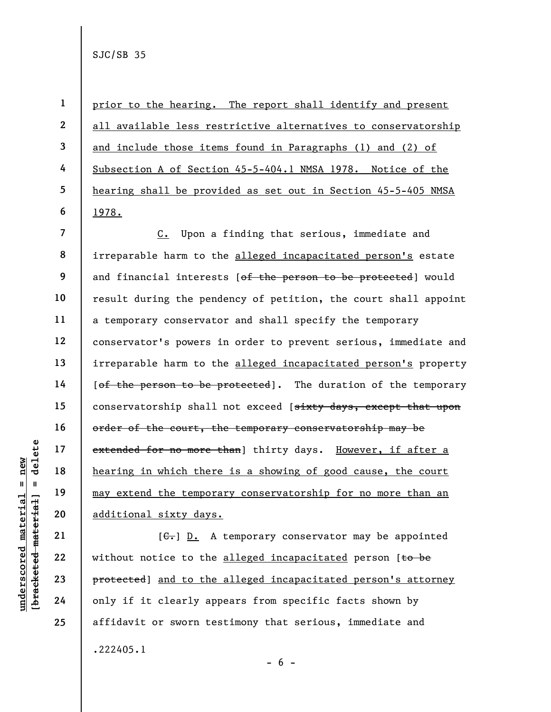1 2 3 4 5 6 prior to the hearing. The report shall identify and present all available less restrictive alternatives to conservatorship and include those items found in Paragraphs (1) and (2) of Subsection A of Section 45-5-404.1 NMSA 1978. Notice of the hearing shall be provided as set out in Section 45-5-405 NMSA 1978.

underscored material = new [bracketed material] = delete 7 8 9 10 11 12 13 14 15 16 17 18 19 20 C. Upon a finding that serious, immediate and irreparable harm to the alleged incapacitated person's estate and financial interests [of the person to be protected] would result during the pendency of petition, the court shall appoint a temporary conservator and shall specify the temporary conservator's powers in order to prevent serious, immediate and irreparable harm to the alleged incapacitated person's property [of the person to be protected]. The duration of the temporary conservatorship shall not exceed [sixty days, except that upon order of the court, the temporary conservatorship may be extended for no more than] thirty days. However, if after a hearing in which there is a showing of good cause, the court may extend the temporary conservatorship for no more than an additional sixty days.

 $[G<sub>1</sub>]$  D. A temporary conservator may be appointed without notice to the alleged incapacitated person [to be protected] and to the alleged incapacitated person's attorney only if it clearly appears from specific facts shown by affidavit or sworn testimony that serious, immediate and .222405.1  $- 6 -$ 

21

22

23

24

25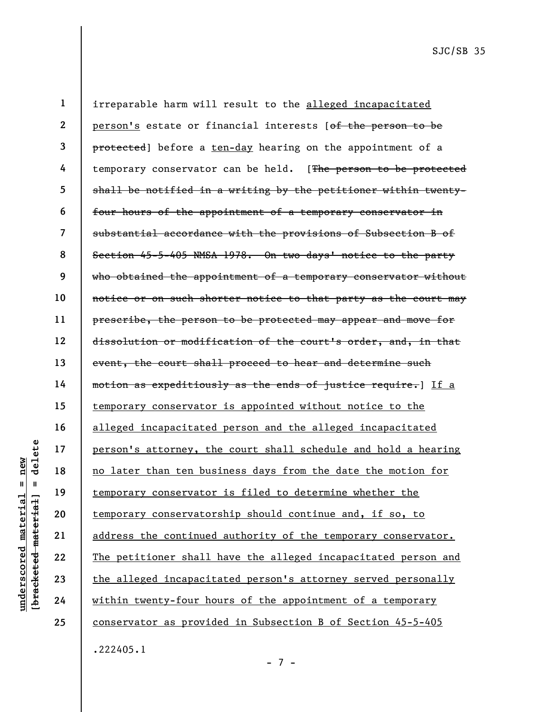under 17<br>
= 18<br>
= 18<br>
= 19<br>
= 19<br>
= 19<br>
= 19<br>
= 19<br>
= 19<br>
= 19<br>
= 19<br>
= 19<br>
= 19<br>
= 19<br>
= 19<br>
= 19<br>
21<br>
= 19<br>
= 19<br>
= 19<br>
22<br>
= 19<br>
= 19<br>
= 19<br>
= 19<br>
= 19<br>
23<br>
= 19<br>
= 19<br>
= 19<br>
= 19<br>
= 19<br>
= 19<br>
= 19<br>
= 19<br>
= 19<br>
= 19<br>
= 1 2 3 4 5 6 7 8 9 10 11 12 13 14 15 16 17 18 19 20 21 22 23 24 25 irreparable harm will result to the alleged incapacitated person's estate or financial interests [of the person to be protected] before a ten-day hearing on the appointment of a temporary conservator can be held. [The person to be protected shall be notified in a writing by the petitioner within twentyfour hours of the appointment of a temporary conservator in substantial accordance with the provisions of Subsection B of Section 45-5-405 NMSA 1978. On two days' notice to the party who obtained the appointment of a temporary conservator without notice or on such shorter notice to that party as the court may prescribe, the person to be protected may appear and move for dissolution or modification of the court's order, and, in that event, the court shall proceed to hear and determine such motion as expeditiously as the ends of justice require.] If a temporary conservator is appointed without notice to the alleged incapacitated person and the alleged incapacitated person's attorney, the court shall schedule and hold a hearing no later than ten business days from the date the motion for temporary conservator is filed to determine whether the temporary conservatorship should continue and, if so, to address the continued authority of the temporary conservator. The petitioner shall have the alleged incapacitated person and the alleged incapacitated person's attorney served personally within twenty-four hours of the appointment of a temporary conservator as provided in Subsection B of Section 45-5-405 .222405.1

- 7 -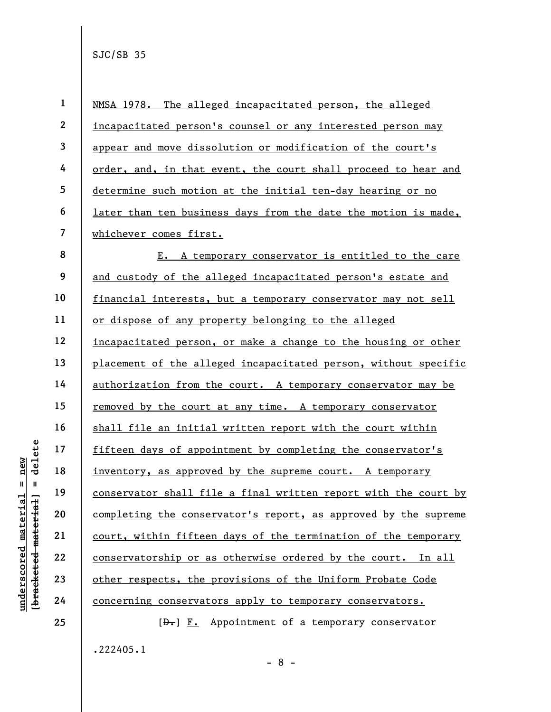underscored material = new [bracketed material] = delete 1 2 3 4 5 6 7 8 9 10 11 12 13 14 15 16 17 18 19 20 21 22 23 24 25 NMSA 1978. The alleged incapacitated person, the alleged incapacitated person's counsel or any interested person may appear and move dissolution or modification of the court's order, and, in that event, the court shall proceed to hear and determine such motion at the initial ten-day hearing or no later than ten business days from the date the motion is made, whichever comes first. E. A temporary conservator is entitled to the care and custody of the alleged incapacitated person's estate and financial interests, but a temporary conservator may not sell or dispose of any property belonging to the alleged incapacitated person, or make a change to the housing or other placement of the alleged incapacitated person, without specific authorization from the court. A temporary conservator may be removed by the court at any time. A temporary conservator shall file an initial written report with the court within fifteen days of appointment by completing the conservator's inventory, as approved by the supreme court. A temporary conservator shall file a final written report with the court by completing the conservator's report, as approved by the supreme court, within fifteen days of the termination of the temporary conservatorship or as otherwise ordered by the court. In all other respects, the provisions of the Uniform Probate Code concerning conservators apply to temporary conservators.  $[\frac{D-1}{2}]$   $\underline{F.}$  Appointment of a temporary conservator

- 8 -

.222405.1